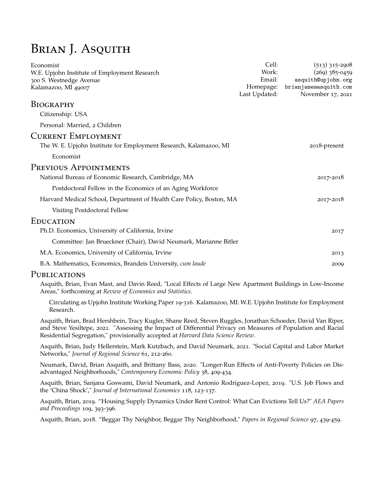# BRIAN J. ASQUITH

| Economist                                                            | Cell:         | $(513)$ 315-2908      |
|----------------------------------------------------------------------|---------------|-----------------------|
| W.E. Upjohn Institute of Employment Research                         | Work:         | $(269)$ 385-0459      |
| 300 S. Westnedge Avenue                                              | Email:        | asquith@upjohn.org    |
| Kalamazoo, MI 49007                                                  | Homepage:     | brianjamesasquith.com |
|                                                                      | Last Updated: | November 17, 2021     |
| BIOGRAPHY                                                            |               |                       |
| Citizenship: USA                                                     |               |                       |
| Personal: Married, 2 Children                                        |               |                       |
| <b>CURRENT EMPLOYMENT</b>                                            |               |                       |
| The W. E. Upjohn Institute for Employment Research, Kalamazoo, MI    |               | 2018-present          |
| Economist                                                            |               |                       |
| PREVIOUS APPOINTMENTS                                                |               |                       |
| National Bureau of Economic Research, Cambridge, MA                  |               | 2017-2018             |
| Postdoctoral Fellow in the Economics of an Aging Workforce           |               |                       |
| Harvard Medical School, Department of Health Care Policy, Boston, MA |               | 2017-2018             |
| Visiting Postdoctoral Fellow                                         |               |                       |
| EDUCATION                                                            |               |                       |
| Ph.D. Economics, University of California, Irvine                    |               | 2017                  |
| Committee: Jan Brueckner (Chair), David Neumark, Marianne Bitler     |               |                       |
| M.A. Economics, University of California, Irvine                     |               | 2013                  |
| B.A. Mathematics, Economics, Brandeis University, cum laude          |               | 2009                  |
|                                                                      |               |                       |

#### **PUBLICATIONS**

Asquith, Brian, Evan Mast, and Davin Reed, "Local Effects of Large New Apartment Buildings in Low-Income Areas," forthcoming at *Review of Economics and Statistics*.

Circulating as Upjohn Institute Working Paper 19-316[. Kalamazoo, MI: W.E. Upjohn Institute for Employment](https://research.upjohn.org/up_workingpapers/316/) [Research.](https://research.upjohn.org/up_workingpapers/316/)

Asquith, Brian, Brad Hershbein, Tracy Kugler, Shane Reed, Steven Ruggles, Jonathan Schoeder, David Van Riper, and Steve Yesiltepe, 2021. "Assessing the Impact of Differential Privacy on Measures of Population and Racial Residential Segregation," provisionally accepted at *Harvard Data Science Review*.

Asquith, Brian, Judy Hellerstein, Mark Kutzbach, and David Neumark, 2021. ["Social Capital and Labor Market](https://onlinelibrary.wiley.com/share/author/IARC3F4EHJMNZXSIEKE8?target=10.1111/jors.12508) [Networks,"](https://onlinelibrary.wiley.com/share/author/IARC3F4EHJMNZXSIEKE8?target=10.1111/jors.12508) *Journal of Regional Science* 61, 212-260.

Neumark, David, Brian Asquith, and Brittany Bass, 2020. ["Longer-Run Effects of Anti-Poverty Policies on Dis](https://onlinelibrary.wiley.com/doi/10.1111/coep.12445)[advantaged Neighborhoods,"](https://onlinelibrary.wiley.com/doi/10.1111/coep.12445) *Contemporary Economic Policy* 38, 409-434.

Asquith, Brian, Sanjana Goswami, David Neumark, and Antonio Rodriguez-Lopez, 2019. ["U.S. Job Flows and](https://doi.org/10.1016/j.jinteco.2019.02.002) [the 'China Shock',"](https://doi.org/10.1016/j.jinteco.2019.02.002) *Journal of International Economics* 118, 123-137.

Asquith, Brian, 2019[. "Housing Supply Dynamics Under Rent Control: What Can Evictions Tell Us?"](https://www.aeaweb.org/articles?id=10.1257/pandp.20191025) *AEA Papers [and Proceedings](https://www.aeaweb.org/articles?id=10.1257/pandp.20191025)* 109, 393-396.

Asquith, Brian, 2018[. "Beggar Thy Neighbor, Beggar Thy Neighborhood,"](https://drive.google.com/file/d/0B-sbNy1rTf8UUzV5a1llcEF1M0k/view) *Papers in Regional Science* 97, 439-459.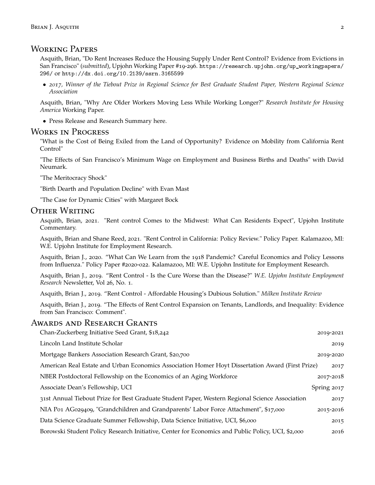## **WORKING PAPERS**

Asquith, Brian, "Do Rent Increases Reduce the Housing Supply Under Rent Control? Evidence from Evictions in San Francisco" (submitted), Upjohn Working Paper #19-296. https://research.upjohn.org/up\_workingpapers/ 296/orhttp://dx.doi.org/10.2139/ssrn.3165599

• 2017, Winner of the Tiebout Prize in Regional Science for Best Graduate Student Paper, Western Regional Science Association

Asquith, Brian, "Why Are Older Workers Moving Less While Working Longer?" Research Institute for Housing America Working Paper.

• Press Release and Research Summary here.

#### **WORKS IN PROGRESS**

"What is the Cost of Being Exiled from the Land of Opportunity? Evidence on Mobility from California Rent Control"

"The Effects of San Francisco's Minimum Wage on Employment and Business Births and Deaths" with David Neumark.

"The Meritocracy Shock"

"Birth Dearth and Population Decline" with Evan Mast

"The Case for Dynamic Cities" with Margaret Bock

#### **OTHER WRITING**

Asquith, Brian, 2021. "Rent control Comes to the Midwest: What Can Residents Expect", Upjohn Institute Commentary.

Asquith, Brian and Shane Reed, 2021. "Rent Control in California: Policy Review." Policy Paper. Kalamazoo, MI: W.E. Upjohn Institute for Employment Research.

Asquith, Brian J., 2020. "What Can We Learn from the 1918 Pandemic? Careful Economics and Policy Lessons from Influenza." Policy Paper #2020-022. Kalamazoo, MI: W.E. Upjohn Institute for Employment Research.

Asquith, Brian J., 2019. "Rent Control - Is the Cure Worse than the Disease?" W.E. Upjohn Institute Employment Research Newsletter, Vol 26, No. 1.

Asquith, Brian J., 2019. "Rent Control - Affordable Housing's Dubious Solution." Milken Institute Review

Asquith, Brian J., 2019. "The Effects of Rent Control Expansion on Tenants, Landlords, and Inequality: Evidence from San Francisco: Comment".

#### **AWARDS AND RESEARCH GRANTS**

| Chan-Zuckerberg Initiative Seed Grant, \$18,242                                                   | 2019-2021   |
|---------------------------------------------------------------------------------------------------|-------------|
| Lincoln Land Institute Scholar                                                                    | 2019        |
| Mortgage Bankers Association Research Grant, \$20,700                                             | 2019-2020   |
| American Real Estate and Urban Economics Association Homer Hoyt Dissertation Award (First Prize)  | 2017        |
| NBER Postdoctoral Fellowship on the Economics of an Aging Workforce                               | 2017-2018   |
| Associate Dean's Fellowship, UCI                                                                  | Spring 2017 |
| 31st Annual Tiebout Prize for Best Graduate Student Paper, Western Regional Science Association   | 2017        |
| NIA P01 AG029409, "Grandchildren and Grandparents' Labor Force Attachment", \$17,000              | 2015-2016   |
| Data Science Graduate Summer Fellowship, Data Science Initiative, UCI, \$6,000                    | 2015        |
| Borowski Student Policy Research Initiative, Center for Economics and Public Policy, UCI, \$2,000 | 2016        |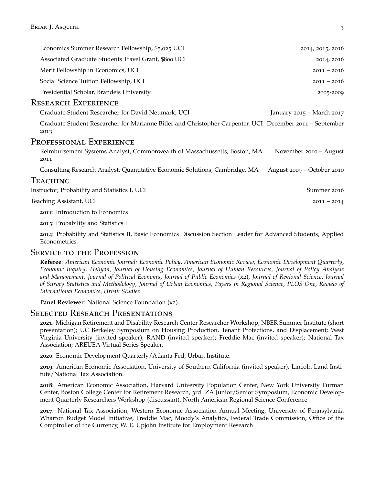| Economics Summer Research Fellowship, \$5,025 UCI                                                                | 2014, 2015, 2016           |
|------------------------------------------------------------------------------------------------------------------|----------------------------|
| Associated Graduate Students Travel Grant, \$800 UCI                                                             | 2014, 2016                 |
| Merit Fellowship in Economics, UCI                                                                               | $2011 - 2016$              |
| Social Science Tuition Fellowship, UCI                                                                           | $2011 - 2016$              |
| Presidential Scholar, Brandeis University                                                                        | 2005-2009                  |
| Research Experience                                                                                              |                            |
| Graduate Student Researcher for David Neumark, UCI                                                               | January 2015 - March 2017  |
| Graduate Student Researcher for Marianne Bitler and Christopher Carpenter, UCI December 2011 - September<br>2013 |                            |
| PROFESSIONAL EXPERIENCE                                                                                          |                            |
| Reimbursement Systems Analyst, Commonwealth of Massachussetts, Boston, MA<br>2011                                | November 2010 - August     |
| Consulting Research Analyst, Quantitative Economic Solutions, Cambridge, MA                                      | August 2009 – October 2010 |
| Teaching                                                                                                         |                            |
| Instructor, Probability and Statistics I, UCI                                                                    | Summer 2016                |
| <b>Teaching Assistant, UCI</b>                                                                                   | $2011 - 2014$              |
| 2011: Introduction to Economics                                                                                  |                            |

**2013**: Probability and Statistics I

**2014**: Probability and Statistics II, Basic Economics Discussion Section Leader for Advanced Students, Applied Econometrics.

# SERVICE TO THE PROFESSION

**Referee**: *American Economic Journal: Economic Policy*, *American Economic Review*, *Economic Development Quarterly*, *Economic Inquiry*, *Heliyon*, *Journal of Housing Economics*, *Journal of Human Resources*, *Journal of Policy Analysis and Management*, *Journal of Political Economy*, *Journal of Public Economics* (x2), *Journal of Regional Science*, *Journal of Survey Statistics and Methodology*, *Journal of Urban Economics*, *Papers in Regional Science*, *PLOS One*, *Review of International Economics*, *Urban Studies*

**Panel Reviewer**: National Science Foundation (x2).

# SELECTED RESEARCH PRESENTATIONS

**2021**: Michigan Retirement and Disability Research Center Researcher Workshop; NBER Summer Institute (short presentation); UC Berkeley Symposium on Housing Production, Tenant Protections, and Displacement; West Virginia University (invited speaker); RAND (invited speaker); Freddie Mac (invited speaker); National Tax Association; AREUEA Virtual Series Speaker.

**2020**: Economic Development Quarterly/Atlanta Fed, Urban Institute.

**2019**: American Economic Association, University of Southern California (invited speaker), Lincoln Land Institute/National Tax Association.

**2018**: American Economic Association, Harvard University Population Center, New York University Furman Center, Boston College Center for Retirement Research, 3rd IZA Junior/Senior Symposium, Economic Development Quarterly Researchers Workshop (discussant), North American Regional Science Conference.

**2017**: National Tax Association, Western Economic Association Annual Meeting, University of Pennsylvania Wharton Budget Model Initiative, Freddie Mac, Moody's Analytics, Federal Trade Commission, Office of the Comptroller of the Currency, W. E. Upjohn Institute for Employment Research